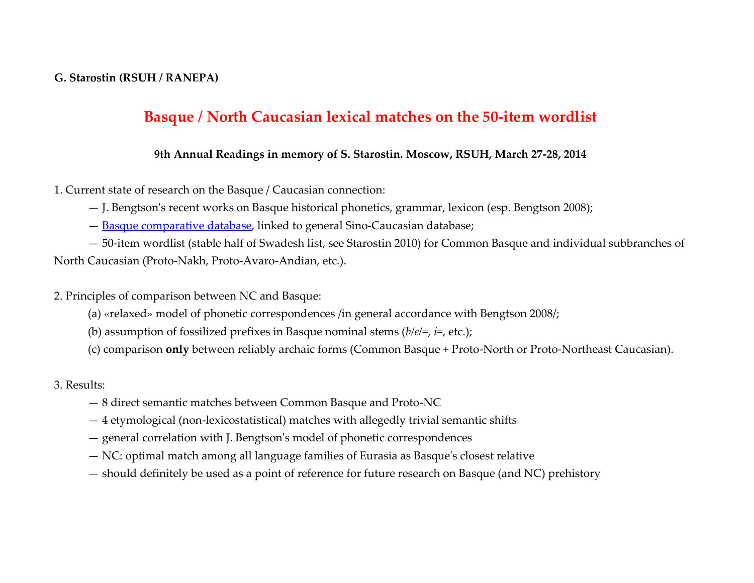#### **G. Starostin (RSUH / RANEPA)**

## **Basque / North Caucasian lexical matches on the 50-item wordlist**

#### **9th Annual Readings in memory of S. Starostin. Moscow, RSUH, March 27-28, 2014**

1. Current state of research on the Basque / Caucasian connection:

— J. Bengtson's recent works on Basque historical phonetics, grammar, lexicon (esp. Bengtson 2008);

— [Basque comparative database,](http://starling.rinet.ru/cgi-bin/response.cgi?root=config&morpho=0&basename=/data/sinocauc/basqet&first=1) linked to general Sino-Caucasian database;

— 50-item wordlist (stable half of Swadesh list, see Starostin 2010) for Common Basque and individual subbranches of North Caucasian (Proto-Nakh, Proto-Avaro-Andian, etc.).

2. Principles of comparison between NC and Basque:

- (a) «relaxed» model of phonetic correspondences /in general accordance with Bengtson 2008/;
- (b) assumption of fossilized prefixes in Basque nominal stems (*b/e/=*, *i=*, etc.);
- (c) comparison **only** between reliably archaic forms (Common Basque + Proto-North or Proto-Northeast Caucasian).

3. Results:

- 8 direct semantic matches between Common Basque and Proto-NC
- 4 etymological (non-lexicostatistical) matches with allegedly trivial semantic shifts
- general correlation with J. Bengtson's model of phonetic correspondences
- NC: optimal match among all language families of Eurasia as Basque's closest relative
- should definitely be used as a point of reference for future research on Basque (and NC) prehistory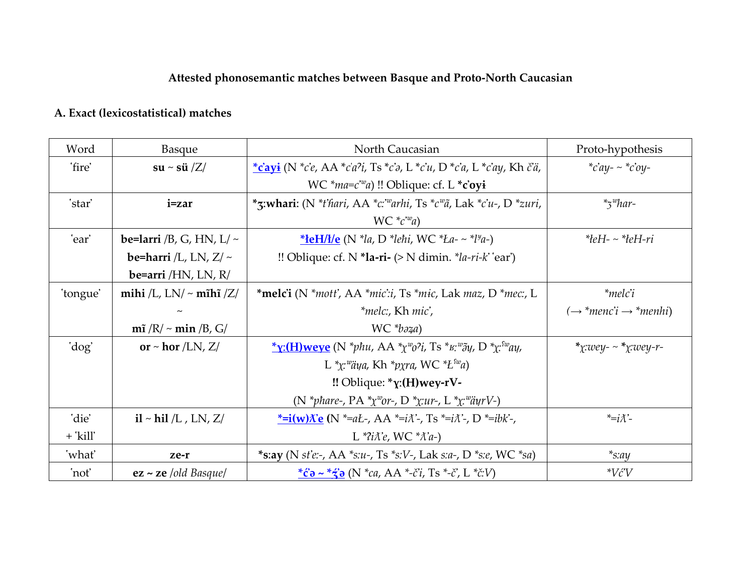# **Attested phonosemantic matches between Basque and Proto-North Caucasian**

# **A. Exact (lexicostatistical) matches**

| Word       | Basque                             | North Caucasian                                                                                                                      | Proto-hypothesis                               |
|------------|------------------------------------|--------------------------------------------------------------------------------------------------------------------------------------|------------------------------------------------|
| 'fire'     | $su \sim \frac{\pi i}{Z}$          | $\frac{*c'$ ayi (N $*c'e$ , AA $*c'a'i$ , Ts $*c'i$ , L $*c'u$ , D $*c'a$ , L $*c'ay$ , Kh $\ddot{c'}\ddot{a}$ ,                     | * $c'ay - c'ay - c'ay -$                       |
|            |                                    | WC $*_{ma=c}^{m}e^{-w}$ a) !! Oblique: cf. L $*_{\text{c'oyi}}$                                                                      |                                                |
| 'star'     | i=zar                              | *z:whari: (N *t'hari, AA *c:"warhi, Ts *c" $\tilde{a}$ , Lak *c'u-, D *zuri,                                                         | $*_5^{\omega}$ har-                            |
|            |                                    | $WC * c^w a$                                                                                                                         |                                                |
| 'ear'      | be=larri /B, G, HN, L/ $\sim$      | *leH/l/e (N *la, D *lehi, WC *La- ~ *l <sup>y</sup> a-)                                                                              | $* \text{left} - * \text{left} - r \text{i}$   |
|            | be=harri /L, LN, $Z/\sim$          | !! Oblique: cf. N *la-ri- $(>N \text{ dimin.} ^{*}la-ri-k \text{ 'ear'})$                                                            |                                                |
|            | be=arri / $HN$ , LN, R/            |                                                                                                                                      |                                                |
| 'tongue'   | mihi /L, LN/ $\sim$ mĩhĩ /Z/       | *melc'i (N *mott', AA *mic':i, Ts *mic, Lak maz, D *mec., L                                                                          | $*$ melc'i                                     |
|            |                                    | *melc:, Kh mic',                                                                                                                     | $(\rightarrow$ *menc'i $\rightarrow$ *menhi)   |
|            | $m\tilde{i}$ /R/ $\sim$ min /B, G/ | $WC * b$ <sub><math>a</math></sub> $a)$                                                                                              |                                                |
| 'dog'      | or $\sim$ hor /LN, Z/              | * <b><u>y</u>:</b> (H)weve (N *phu, AA * $\chi^{w}o$ ? <i>i</i> , Ts * $\kappa^{w}\tilde{o}\chi$ , D * $\chi^{w}u$ ,                 | * $x:wey - x * x:wey - r -$                    |
|            |                                    | L *x: <sup>w</sup> äya, Kh *pxra, WC * $L^{sw}$ a)                                                                                   |                                                |
|            |                                    | $\mathsf{!!}$ Oblique: * $\gamma$ :(H)wey-rV-                                                                                        |                                                |
|            |                                    | (N *phare-, PA * $\chi^w$ or-, D * $\chi u$ r-, L * $\chi^w$ äyrV-)                                                                  |                                                |
| 'die'      | $i$ l ~ hil /L, LN, Z/             | <u>*=i(w)<math>\chi</math>'e</u> (N *=aŁ-, AA *=i $\chi$ '-, Ts *=i $\chi$ '-, D *=ibk'-,                                            | $\overline{\lambda}$ =i $\overline{\lambda}$ . |
| $+$ 'kill' |                                    | L * $i\lambda$ e, WC * $\lambda$ a-)                                                                                                 |                                                |
| 'what'     | ze-r                               | *s:ay (N st'e:-, AA *s:u-, Ts *s:V-, Lak s:a-, D *s:e, WC *sa)                                                                       | $*_s$ :ay                                      |
| 'not'      | $ez \sim ze$ /old Basque/          | * $\ddot{c}$ <b>a</b> ~ * $\dot{\ddot{z}}$ <b>a</b> (N *ca, AA *- $\ddot{c}$ <i>i</i> , Ts *- $\ddot{c}$ , L * $\ddot{c}$ <i>V</i> ) | $*V\acute{c}V$                                 |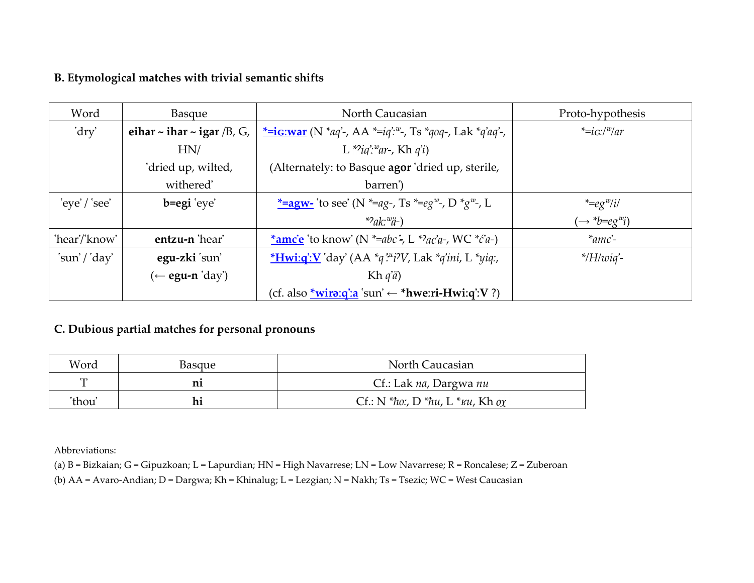### **B. Etymological matches with trivial semantic shifts**

| Word          | <b>Basque</b>                        | North Caucasian                                                                        | Proto-hypothesis          |
|---------------|--------------------------------------|----------------------------------------------------------------------------------------|---------------------------|
| 'dry'         | eihar $\sim$ ihar $\sim$ igar /B, G, | <u>*=ig:war</u> (N *aq'-, AA *=ig': <sup>w</sup> -, Ts *qoq-, Lak *q'aq'-,             | $*=ic$ ://w/ar            |
|               | HN/                                  | L *?iq':"ar-, Kh q'i)                                                                  |                           |
|               | 'dried up, wilted,                   | (Alternately: to Basque agor 'dried up, sterile,                                       |                           |
|               | withered'                            | barren')                                                                               |                           |
| $eye'/\nsee'$ | b=egi 'eye'                          | <u>*=agw-</u> 'to see' (N *=ag-, Ts *=eg <sup>w</sup> -, D *g <sup>w</sup> -, L        | $*=eg^w/i$                |
|               |                                      | $*2ak$ ; $*2k$                                                                         | $\rightarrow *b = eg^w i$ |
| 'hear'/'know' | entzu-n 'hear'                       | *amc'e 'to know' (N *=abc'-, L *?ac'a-, WC *c'a-)                                      | $*$ amc'-                 |
| 'sun'/'day'   | egu-zki sun'                         | <i>*Hwig':V</i> 'day' (AA *q' <sup><i>xx'i'</i>)</sup> <i>V</i> , Lak *q'ini, L *yiq:, | $*$ /H/wiq'-              |
|               | $(\leftarrow$ egu-n 'day')           | Kh $q'$ <i>a</i> )                                                                     |                           |
|               |                                      | (cf. also <u>*wira:q':a</u> 'sun' $\leftarrow$ *hwe:ri-Hwi:q':V ?)                     |                           |

#### **C. Dubious partial matches for personal pronouns**

| Word         | Basque | North Caucasian                            |
|--------------|--------|--------------------------------------------|
| $\epsilon$ T |        | Cf.: Lak na, Dargwa nu                     |
| 'thou'       | hi     | Cf.: N *ho:, D *hu, L * $\kappa u$ , Kh ox |

Abbreviations:

(a) B = Bizkaian; G = Gipuzkoan; L = Lapurdian; HN = High Navarrese; LN = Low Navarrese; R = Roncalese; Z = Zuberoan

(b) AA = Avaro-Andian; D = Dargwa; Kh = Khinalug; L = Lezgian; N = Nakh; Ts = Tsezic; WC = West Caucasian